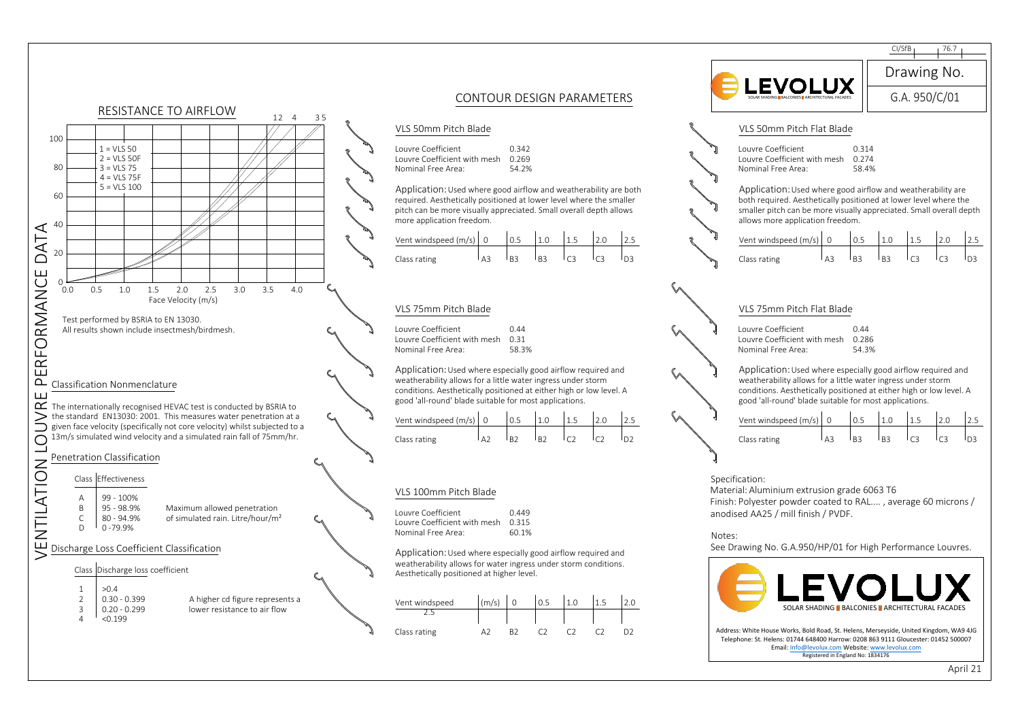

April 21